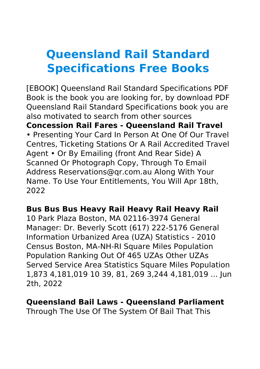# **Queensland Rail Standard Specifications Free Books**

[EBOOK] Queensland Rail Standard Specifications PDF Book is the book you are looking for, by download PDF Queensland Rail Standard Specifications book you are also motivated to search from other sources **Concession Rail Fares - Queensland Rail Travel** • Presenting Your Card In Person At One Of Our Travel Centres, Ticketing Stations Or A Rail Accredited Travel Agent • Or By Emailing (front And Rear Side) A Scanned Or Photograph Copy, Through To Email Address Reservations@qr.com.au Along With Your Name. To Use Your Entitlements, You Will Apr 18th, 2022

# **Bus Bus Bus Heavy Rail Heavy Rail Heavy Rail**

10 Park Plaza Boston, MA 02116-3974 General Manager: Dr. Beverly Scott (617) 222-5176 General Information Urbanized Area (UZA) Statistics - 2010 Census Boston, MA-NH-RI Square Miles Population Population Ranking Out Of 465 UZAs Other UZAs Served Service Area Statistics Square Miles Population 1,873 4,181,019 10 39, 81, 269 3,244 4,181,019 ... Jun 2th, 2022

#### **Queensland Bail Laws - Queensland Parliament**

Through The Use Of The System Of Bail That This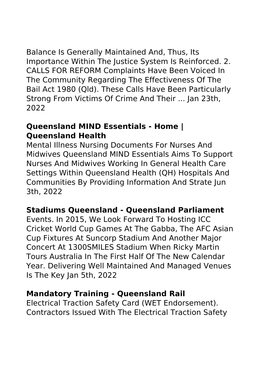Balance Is Generally Maintained And, Thus, Its Importance Within The Justice System Is Reinforced. 2. CALLS FOR REFORM Complaints Have Been Voiced In The Community Regarding The Effectiveness Of The Bail Act 1980 (Qld). These Calls Have Been Particularly Strong From Victims Of Crime And Their ... Jan 23th, 2022

#### **Queensland MIND Essentials - Home | Queensland Health**

Mental Illness Nursing Documents For Nurses And Midwives Queensland MIND Essentials Aims To Support Nurses And Midwives Working In General Health Care Settings Within Queensland Health (QH) Hospitals And Communities By Providing Information And Strate Jun 3th, 2022

# **Stadiums Queensland - Queensland Parliament**

Events. In 2015, We Look Forward To Hosting ICC Cricket World Cup Games At The Gabba, The AFC Asian Cup Fixtures At Suncorp Stadium And Another Major Concert At 1300SMILES Stadium When Ricky Martin Tours Australia In The First Half Of The New Calendar Year. Delivering Well Maintained And Managed Venues Is The Key Jan 5th, 2022

#### **Mandatory Training - Queensland Rail**

Electrical Traction Safety Card (WET Endorsement). Contractors Issued With The Electrical Traction Safety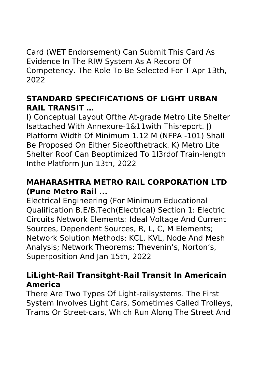Card (WET Endorsement) Can Submit This Card As Evidence In The RIW System As A Record Of Competency. The Role To Be Selected For T Apr 13th, 2022

# **STANDARD SPECIFICATIONS OF LIGHT URBAN RAIL TRANSIT …**

I) Conceptual Layout Ofthe At-grade Metro Lite Shelter Isattached With Annexure-1&11with Thisreport. J) Platform Width Of Minimum 1.12 M (NFPA -101) Shall Be Proposed On Either Sideofthetrack. K) Metro Lite Shelter Roof Can Beoptimized To 1I3rdof Train-length Inthe Platform Jun 13th, 2022

# **MAHARASHTRA METRO RAIL CORPORATION LTD (Pune Metro Rail ...**

Electrical Engineering (For Minimum Educational Qualification B.E/B.Tech(Electrical) Section 1: Electric Circuits Network Elements: Ideal Voltage And Current Sources, Dependent Sources, R, L, C, M Elements; Network Solution Methods: KCL, KVL, Node And Mesh Analysis; Network Theorems: Thevenin's, Norton's, Superposition And Jan 15th, 2022

# **LiLight-Rail Transitght-Rail Transit In Americain America**

There Are Two Types Of Light-railsystems. The First System Involves Light Cars, Sometimes Called Trolleys, Trams Or Street-cars, Which Run Along The Street And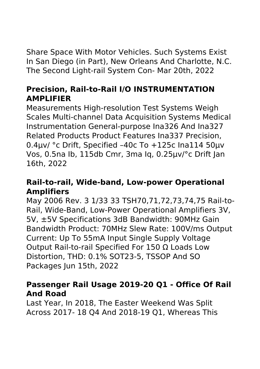Share Space With Motor Vehicles. Such Systems Exist In San Diego (in Part), New Orleans And Charlotte, N.C. The Second Light-rail System Con- Mar 20th, 2022

# **Precision, Rail-to-Rail I/O INSTRUMENTATION AMPLIFIER**

Measurements High-resolution Test Systems Weigh Scales Multi-channel Data Acquisition Systems Medical Instrumentation General-purpose Ina326 And Ina327 Related Products Product Features Ina337 Precision, 0.4µv/ °c Drift, Specified –40c To +125c Ina114 50µv Vos, 0.5na Ib, 115db Cmr, 3ma Iq, 0.25µv/°c Drift Jan 16th, 2022

# **Rail-to-rail, Wide-band, Low-power Operational Amplifiers**

May 2006 Rev. 3 1/33 33 TSH70,71,72,73,74,75 Rail-to-Rail, Wide-Band, Low-Power Operational Amplifiers 3V, 5V, ±5V Specifications 3dB Bandwidth: 90MHz Gain Bandwidth Product: 70MHz Slew Rate: 100V/ms Output Current: Up To 55mA Input Single Supply Voltage Output Rail-to-rail Specified For 150 Ω Loads Low Distortion, THD: 0.1% SOT23-5, TSSOP And SO Packages Jun 15th, 2022

# **Passenger Rail Usage 2019-20 Q1 - Office Of Rail And Road**

Last Year, In 2018, The Easter Weekend Was Split Across 2017- 18 Q4 And 2018-19 Q1, Whereas This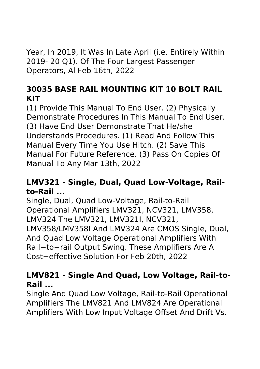Year, In 2019, It Was In Late April (i.e. Entirely Within 2019- 20 Q1). Of The Four Largest Passenger Operators, Al Feb 16th, 2022

# **30035 BASE RAIL MOUNTING KIT 10 BOLT RAIL KIT**

(1) Provide This Manual To End User. (2) Physically Demonstrate Procedures In This Manual To End User. (3) Have End User Demonstrate That He/she Understands Procedures. (1) Read And Follow This Manual Every Time You Use Hitch. (2) Save This Manual For Future Reference. (3) Pass On Copies Of Manual To Any Mar 13th, 2022

# **LMV321 - Single, Dual, Quad Low-Voltage, Railto-Rail ...**

Single, Dual, Quad Low-Voltage, Rail-to-Rail Operational Amplifiers LMV321, NCV321, LMV358, LMV324 The LMV321, LMV321I, NCV321, LMV358/LMV358I And LMV324 Are CMOS Single, Dual, And Quad Low Voltage Operational Amplifiers With Rail−to−rail Output Swing. These Amplifiers Are A Cost−effective Solution For Feb 20th, 2022

# **LMV821 - Single And Quad, Low Voltage, Rail-to-Rail ...**

Single And Quad Low Voltage, Rail-to-Rail Operational Amplifiers The LMV821 And LMV824 Are Operational Amplifiers With Low Input Voltage Offset And Drift Vs.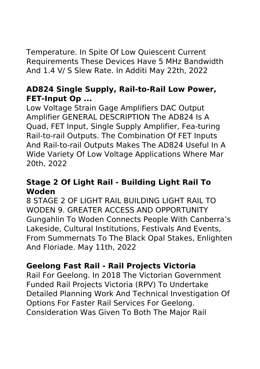Temperature. In Spite Of Low Quiescent Current Requirements These Devices Have 5 MHz Bandwidth And 1.4 V/ S Slew Rate. In Additi May 22th, 2022

# **AD824 Single Supply, Rail-to-Rail Low Power, FET-Input Op ...**

Low Voltage Strain Gage Amplifiers DAC Output Amplifier GENERAL DESCRIPTION The AD824 Is A Quad, FET Input, Single Supply Amplifier, Fea-turing Rail-to-rail Outputs. The Combination Of FET Inputs And Rail-to-rail Outputs Makes The AD824 Useful In A Wide Variety Of Low Voltage Applications Where Mar 20th, 2022

# **Stage 2 Of Light Rail - Building Light Rail To Woden**

8 STAGE 2 OF LIGHT RAIL BUILDING LIGHT RAIL TO WODEN 9. GREATER ACCESS AND OPPORTUNITY Gungahlin To Woden Connects People With Canberra's Lakeside, Cultural Institutions, Festivals And Events, From Summernats To The Black Opal Stakes, Enlighten And Floriade. May 11th, 2022

# **Geelong Fast Rail - Rail Projects Victoria**

Rail For Geelong. In 2018 The Victorian Government Funded Rail Projects Victoria (RPV) To Undertake Detailed Planning Work And Technical Investigation Of Options For Faster Rail Services For Geelong. Consideration Was Given To Both The Major Rail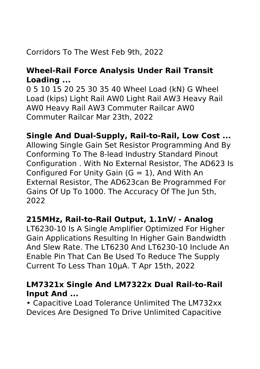# Corridors To The West Feb 9th, 2022

# **Wheel-Rail Force Analysis Under Rail Transit Loading ...**

0 5 10 15 20 25 30 35 40 Wheel Load (kN) G Wheel Load (kips) Light Rail AW0 Light Rail AW3 Heavy Rail AW0 Heavy Rail AW3 Commuter Railcar AW0 Commuter Railcar Mar 23th, 2022

# **Single And Dual-Supply, Rail-to-Rail, Low Cost ...**

Allowing Single Gain Set Resistor Programming And By Conforming To The 8-lead Industry Standard Pinout Configuration . With No External Resistor, The AD623 Is Configured For Unity Gain  $(G = 1)$ , And With An External Resistor, The AD623can Be Programmed For Gains Of Up To 1000. The Accuracy Of The Jun 5th, 2022

#### **215MHz, Rail-to-Rail Output, 1.1nV/ - Analog**

LT6230-10 Is A Single Amplifier Optimized For Higher Gain Applications Resulting In Higher Gain Bandwidth And Slew Rate. The LT6230 And LT6230-10 Include An Enable Pin That Can Be Used To Reduce The Supply Current To Less Than 10µA. T Apr 15th, 2022

# **LM7321x Single And LM7322x Dual Rail-to-Rail Input And ...**

• Capacitive Load Tolerance Unlimited The LM732xx Devices Are Designed To Drive Unlimited Capacitive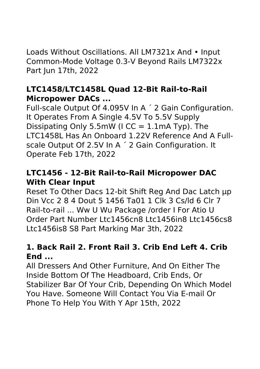Loads Without Oscillations. All LM7321x And • Input Common-Mode Voltage 0.3-V Beyond Rails LM7322x Part Jun 17th, 2022

# **LTC1458/LTC1458L Quad 12-Bit Rail-to-Rail Micropower DACs ...**

Full-scale Output Of 4.095V In A ´ 2 Gain Configuration. It Operates From A Single 4.5V To 5.5V Supply Dissipating Only 5.5mW ( $ICC = 1.1$ mA Typ). The LTC1458L Has An Onboard 1.22V Reference And A Fullscale Output Of 2.5V In A ´ 2 Gain Configuration. It Operate Feb 17th, 2022

# **LTC1456 - 12-Bit Rail-to-Rail Micropower DAC With Clear Input**

Reset To Other Dacs 12-bit Shift Reg And Dac Latch µp Din Vcc 2 8 4 Dout 5 1456 Ta01 1 Clk 3 Cs/ld 6 Clr 7 Rail-to-rail ... Ww U Wu Package /order I For Atio U Order Part Number Ltc1456cn8 Ltc1456in8 Ltc1456cs8 Ltc1456is8 S8 Part Marking Mar 3th, 2022

# **1. Back Rail 2. Front Rail 3. Crib End Left 4. Crib End ...**

All Dressers And Other Furniture, And On Either The Inside Bottom Of The Headboard, Crib Ends, Or Stabilizer Bar Of Your Crib, Depending On Which Model You Have. Someone Will Contact You Via E-mail Or Phone To Help You With Y Apr 15th, 2022